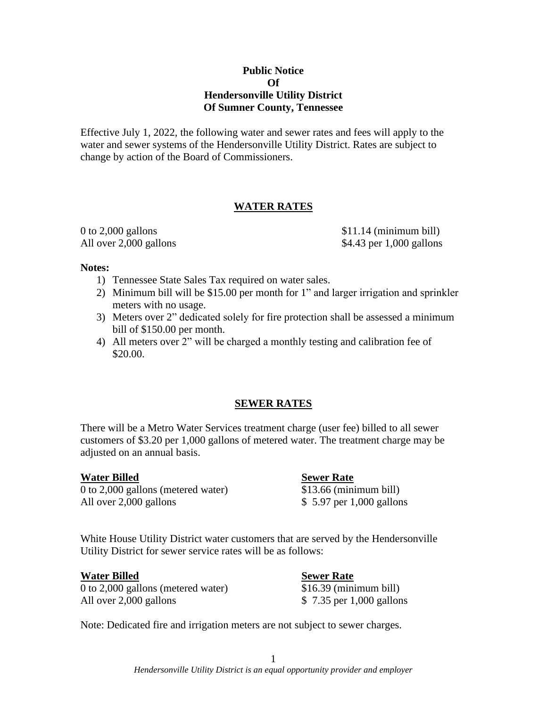# **Public Notice Of Hendersonville Utility District Of Sumner County, Tennessee**

Effective July 1, 2022, the following water and sewer rates and fees will apply to the water and sewer systems of the Hendersonville Utility District. Rates are subject to change by action of the Board of Commissioners.

# **WATER RATES**

 $0$  to  $2,000$  gallons  $$11.14$  (minimum bill) All over 2,000 gallons \$4.43 per 1,000 gallons

## **Notes:**

- 1) Tennessee State Sales Tax required on water sales.
- 2) Minimum bill will be \$15.00 per month for 1" and larger irrigation and sprinkler meters with no usage.
- 3) Meters over 2" dedicated solely for fire protection shall be assessed a minimum bill of \$150.00 per month.
- 4) All meters over 2" will be charged a monthly testing and calibration fee of \$20.00.

# **SEWER RATES**

There will be a Metro Water Services treatment charge (user fee) billed to all sewer customers of \$3.20 per 1,000 gallons of metered water. The treatment charge may be adjusted on an annual basis.

## **Water Billed Sewer Rate**

0 to 2,000 gallons (metered water) \$13.66 (minimum bill) All over 2,000 gallons  $$ 5.97$  per 1,000 gallons

White House Utility District water customers that are served by the Hendersonville Utility District for sewer service rates will be as follows:

## **Water Billed Sewer Rate**

0 to 2,000 gallons (metered water) \$16.39 (minimum bill) All over 2,000 gallons \$ 7.35 per 1,000 gallons

Note: Dedicated fire and irrigation meters are not subject to sewer charges.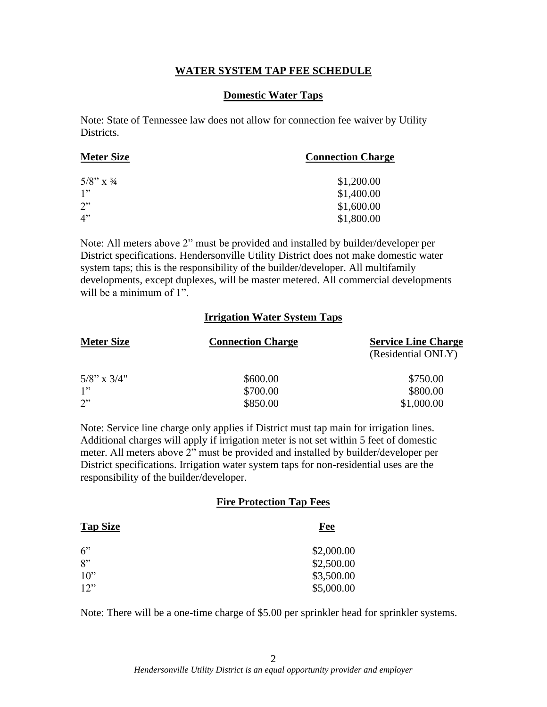# **WATER SYSTEM TAP FEE SCHEDULE**

# **Domestic Water Taps**

Note: State of Tennessee law does not allow for connection fee waiver by Utility Districts.

| <b>Meter Size</b>       | <b>Connection Charge</b> |
|-------------------------|--------------------------|
| $5/8$ " x $\frac{3}{4}$ | \$1,200.00               |
| 1"                      | \$1,400.00               |
| 2"                      | \$1,600.00               |
| 4"                      | \$1,800.00               |

Note: All meters above 2" must be provided and installed by builder/developer per District specifications. Hendersonville Utility District does not make domestic water system taps; this is the responsibility of the builder/developer. All multifamily developments, except duplexes, will be master metered. All commercial developments will be a minimum of 1".

# **Irrigation Water System Taps**

| <b>Meter Size</b> | <b>Connection Charge</b> | <b>Service Line Charge</b> |
|-------------------|--------------------------|----------------------------|
|                   |                          | (Residential ONLY)         |
| $5/8$ " x $3/4$ " | \$600.00                 | \$750.00                   |
| 1"                | \$700.00                 | \$800.00                   |
| 2"                | \$850.00                 | \$1,000.00                 |

Note: Service line charge only applies if District must tap main for irrigation lines. Additional charges will apply if irrigation meter is not set within 5 feet of domestic meter. All meters above 2" must be provided and installed by builder/developer per District specifications. Irrigation water system taps for non-residential uses are the responsibility of the builder/developer.

## **Fire Protection Tap Fees**

| <b>Tap Size</b> | Fee        |
|-----------------|------------|
| 6"              | \$2,000.00 |
| 8"              | \$2,500.00 |
| $10$ "          | \$3,500.00 |
| 12"             | \$5,000.00 |

Note: There will be a one-time charge of \$5.00 per sprinkler head for sprinkler systems.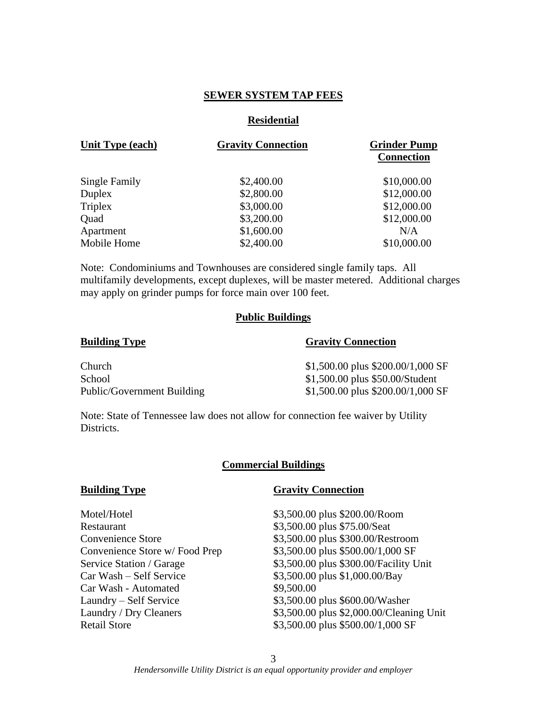# **SEWER SYSTEM TAP FEES**

## **Residential**

| <b>Unit Type (each)</b> | <b>Gravity Connection</b> | <b>Grinder Pump</b><br><b>Connection</b> |
|-------------------------|---------------------------|------------------------------------------|
| Single Family           | \$2,400.00                | \$10,000.00                              |
| Duplex                  | \$2,800.00                | \$12,000.00                              |
| <b>Triplex</b>          | \$3,000.00                | \$12,000.00                              |
| Quad                    | \$3,200.00                | \$12,000.00                              |
| Apartment               | \$1,600.00                | N/A                                      |
| Mobile Home             | \$2,400.00                | \$10,000.00                              |

Note: Condominiums and Townhouses are considered single family taps. All multifamily developments, except duplexes, will be master metered. Additional charges may apply on grinder pumps for force main over 100 feet.

## **Public Buildings**

### **Building Type Gravity Connection**

| Church                     | $$1,500.00$ plus $$200.00/1,000$ SF |
|----------------------------|-------------------------------------|
| School                     | \$1,500.00 plus \$50.00/Student     |
| Public/Government Building | \$1,500.00 plus \$200.00/1,000 SF   |

Note: State of Tennessee law does not allow for connection fee waiver by Utility Districts.

### **Commercial Buildings**

| Motel/Hotel                   |
|-------------------------------|
| Restaurant                    |
| Convenience Store             |
| Convenience Store w/Food Prep |
| Service Station / Garage      |
| Car Wash – Self Service       |
| Car Wash - Automated          |
| Laundry – Self Service        |
| Laundry / Dry Cleaners        |
| <b>Retail Store</b>           |

### **Building Type Gravity Connection**

\$3,500.00 plus \$200.00/Room \$3,500.00 plus \$75.00/Seat \$3,500.00 plus \$300.00/Restroom  $$3,500.00$  plus  $$500.00/1,000$  SF \$3,500.00 plus \$300.00/Facility Unit \$3,500.00 plus \$1,000.00/Bay \$9,500.00 \$3,500.00 plus \$600.00/Washer \$3,500.00 plus \$2,000.00/Cleaning Unit \$3,500.00 plus \$500.00/1,000 SF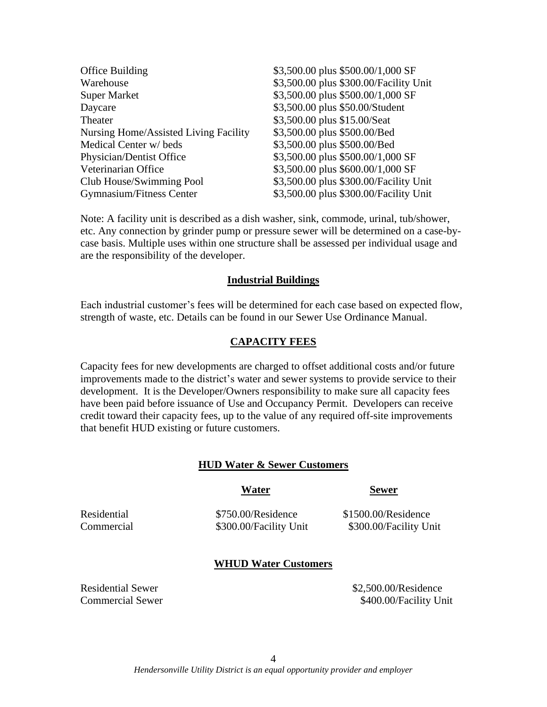| Office Building                       | \$3,500.00 plus \$500.00/1,000 SF      |
|---------------------------------------|----------------------------------------|
| Warehouse                             | \$3,500.00 plus \$300.00/Facility Unit |
| <b>Super Market</b>                   | \$3,500.00 plus \$500.00/1,000 SF      |
| Daycare                               | \$3,500.00 plus \$50.00/Student        |
| Theater                               | \$3,500.00 plus \$15.00/Seat           |
| Nursing Home/Assisted Living Facility | \$3,500.00 plus \$500.00/Bed           |
| Medical Center w/beds                 | \$3,500.00 plus \$500.00/Bed           |
| Physician/Dentist Office              | \$3,500.00 plus \$500.00/1,000 SF      |
| Veterinarian Office                   | \$3,500.00 plus \$600.00/1,000 SF      |
| Club House/Swimming Pool              | \$3,500.00 plus \$300.00/Facility Unit |
| Gymnasium/Fitness Center              | \$3,500.00 plus \$300.00/Facility Unit |
|                                       |                                        |

Note: A facility unit is described as a dish washer, sink, commode, urinal, tub/shower, etc. Any connection by grinder pump or pressure sewer will be determined on a case-bycase basis. Multiple uses within one structure shall be assessed per individual usage and are the responsibility of the developer.

## **Industrial Buildings**

Each industrial customer's fees will be determined for each case based on expected flow, strength of waste, etc. Details can be found in our Sewer Use Ordinance Manual.

# **CAPACITY FEES**

Capacity fees for new developments are charged to offset additional costs and/or future improvements made to the district's water and sewer systems to provide service to their development. It is the Developer/Owners responsibility to make sure all capacity fees have been paid before issuance of Use and Occupancy Permit. Developers can receive credit toward their capacity fees, up to the value of any required off-site improvements that benefit HUD existing or future customers.

## **HUD Water & Sewer Customers**

Residential \$750.00/Residence \$1500.00/Residence Commercial \$300.00/Facility Unit \$300.00/Facility Unit

**Water Sewer**

## **WHUD Water Customers**

Residential Sewer **\$2,500.00/Residence** 

Commercial Sewer \$400.00/Facility Unit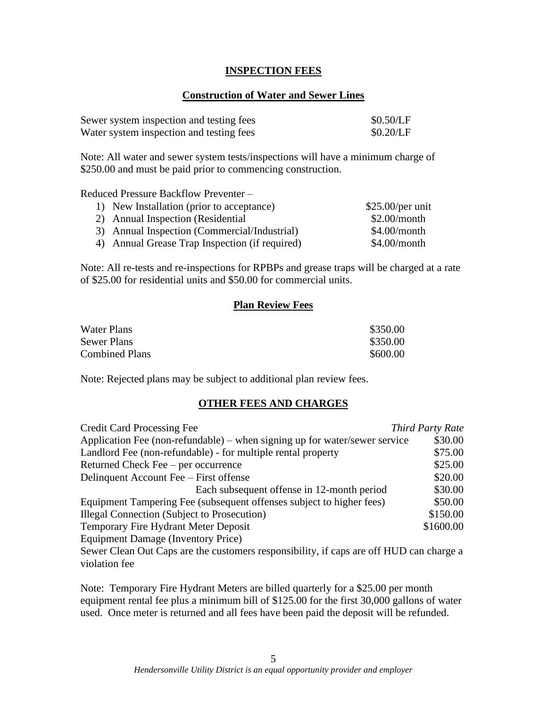# **INSPECTION FEES**

# **Construction of Water and Sewer Lines**

| Sewer system inspection and testing fees | \$0.50/LF |
|------------------------------------------|-----------|
| Water system inspection and testing fees | \$0.20/LF |

Note: All water and sewer system tests/inspections will have a minimum charge of \$250.00 and must be paid prior to commencing construction.

Reduced Pressure Backflow Preventer –

| 1) New Installation (prior to acceptance)      | $$25.00/per$ unit |
|------------------------------------------------|-------------------|
| 2) Annual Inspection (Residential              | \$2.00/month      |
| 3) Annual Inspection (Commercial/Industrial)   | $$4.00/m$ onth    |
| 4) Annual Grease Trap Inspection (if required) | $$4.00/m$ onth    |

Note: All re-tests and re-inspections for RPBPs and grease traps will be charged at a rate of \$25.00 for residential units and \$50.00 for commercial units.

# **Plan Review Fees**

| Water Plans           | \$350.00 |
|-----------------------|----------|
| Sewer Plans           | \$350.00 |
| <b>Combined Plans</b> | \$600.00 |

Note: Rejected plans may be subject to additional plan review fees.

# **OTHER FEES AND CHARGES**

| <b>Credit Card Processing Fee</b>                                                       | Third Party Rate |
|-----------------------------------------------------------------------------------------|------------------|
| Application Fee (non-refundable) – when signing up for water/sewer service              | \$30.00          |
| Landlord Fee (non-refundable) - for multiple rental property                            | \$75.00          |
| Returned Check Fee – per occurrence                                                     | \$25.00          |
| Delinquent Account Fee – First offense                                                  | \$20.00          |
| Each subsequent offense in 12-month period                                              | \$30.00          |
| Equipment Tampering Fee (subsequent offenses subject to higher fees)                    | \$50.00          |
| <b>Illegal Connection (Subject to Prosecution)</b>                                      | \$150.00         |
| Temporary Fire Hydrant Meter Deposit                                                    | \$1600.00        |
| Equipment Damage (Inventory Price)                                                      |                  |
| Sewer Clean Out Caps are the customers responsibility, if caps are off HUD can charge a |                  |
| violation fee                                                                           |                  |

Note: Temporary Fire Hydrant Meters are billed quarterly for a \$25.00 per month equipment rental fee plus a minimum bill of \$125.00 for the first 30,000 gallons of water used. Once meter is returned and all fees have been paid the deposit will be refunded.